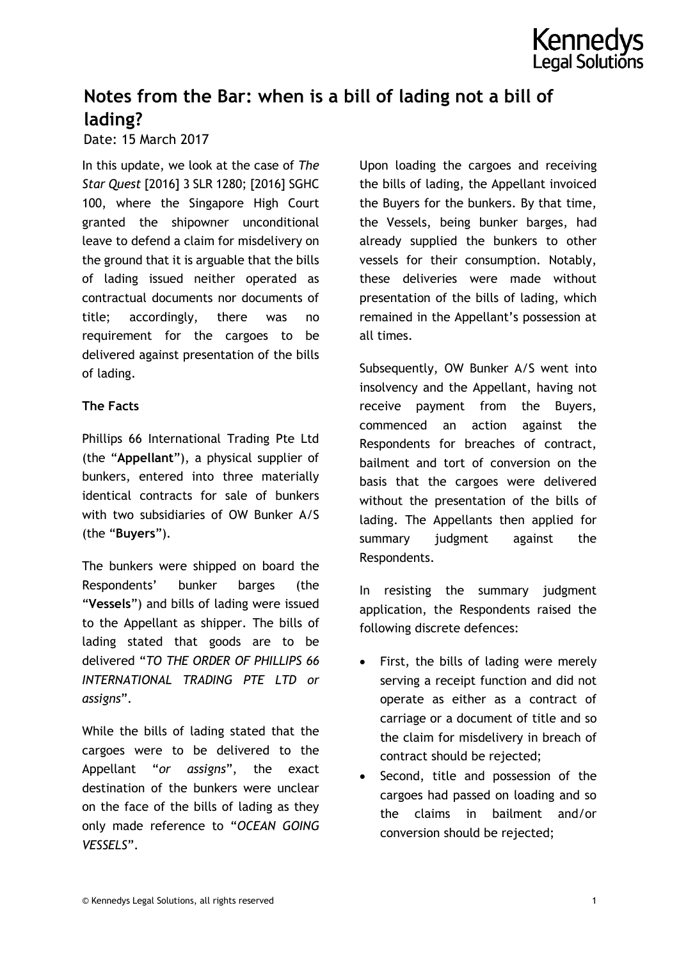

## **Notes from the Bar: when is a bill of lading not a bill of lading?**

#### Date: 15 March 2017

In this update, we look at the case of *The Star Quest* [2016] 3 SLR 1280; [2016] SGHC 100, where the Singapore High Court granted the shipowner unconditional leave to defend a claim for misdelivery on the ground that it is arguable that the bills of lading issued neither operated as contractual documents nor documents of title; accordingly, there was no requirement for the cargoes to be delivered against presentation of the bills of lading.

#### **The Facts**

Phillips 66 International Trading Pte Ltd (the "**Appellant**"), a physical supplier of bunkers, entered into three materially identical contracts for sale of bunkers with two subsidiaries of OW Bunker A/S (the "**Buyers**").

The bunkers were shipped on board the Respondents' bunker barges (the "**Vessels**") and bills of lading were issued to the Appellant as shipper. The bills of lading stated that goods are to be delivered "*TO THE ORDER OF PHILLIPS 66 INTERNATIONAL TRADING PTE LTD or assigns*".

While the bills of lading stated that the cargoes were to be delivered to the Appellant "*or assigns*", the exact destination of the bunkers were unclear on the face of the bills of lading as they only made reference to "*OCEAN GOING VESSELS*".

Upon loading the cargoes and receiving the bills of lading, the Appellant invoiced the Buyers for the bunkers. By that time, the Vessels, being bunker barges, had already supplied the bunkers to other vessels for their consumption. Notably, these deliveries were made without presentation of the bills of lading, which remained in the Appellant's possession at all times.

Subsequently, OW Bunker A/S went into insolvency and the Appellant, having not receive payment from the Buyers, commenced an action against the Respondents for breaches of contract, bailment and tort of conversion on the basis that the cargoes were delivered without the presentation of the bills of lading. The Appellants then applied for summary judgment against the Respondents.

In resisting the summary judgment application, the Respondents raised the following discrete defences:

- First, the bills of lading were merely serving a receipt function and did not operate as either as a contract of carriage or a document of title and so the claim for misdelivery in breach of contract should be rejected;
- Second, title and possession of the cargoes had passed on loading and so the claims in bailment and/or conversion should be rejected;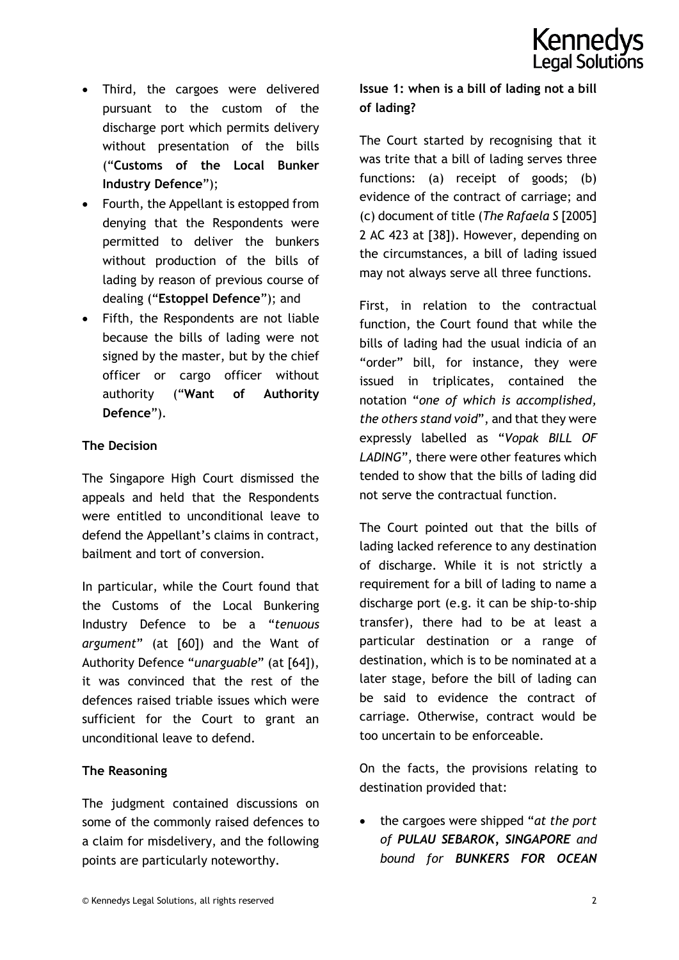- Third, the cargoes were delivered pursuant to the custom of the discharge port which permits delivery without presentation of the bills ("**Customs of the Local Bunker Industry Defence**");
- Fourth, the Appellant is estopped from denying that the Respondents were permitted to deliver the bunkers without production of the bills of lading by reason of previous course of dealing ("**Estoppel Defence**"); and
- Fifth, the Respondents are not liable because the bills of lading were not signed by the master, but by the chief officer or cargo officer without authority ("**Want of Authority Defence**").

## **The Decision**

The Singapore High Court dismissed the appeals and held that the Respondents were entitled to unconditional leave to defend the Appellant's claims in contract, bailment and tort of conversion.

In particular, while the Court found that the Customs of the Local Bunkering Industry Defence to be a "*tenuous argument*" (at [60]) and the Want of Authority Defence "*unarguable*" (at [64]), it was convinced that the rest of the defences raised triable issues which were sufficient for the Court to grant an unconditional leave to defend.

## **The Reasoning**

The judgment contained discussions on some of the commonly raised defences to a claim for misdelivery, and the following points are particularly noteworthy.

## **Issue 1: when is a bill of lading not a bill of lading?**

The Court started by recognising that it was trite that a bill of lading serves three functions: (a) receipt of goods; (b) evidence of the contract of carriage; and (c) document of title (*The Rafaela S* [2005] 2 AC 423 at [38]). However, depending on the circumstances, a bill of lading issued may not always serve all three functions.

First, in relation to the contractual function, the Court found that while the bills of lading had the usual indicia of an "order" bill, for instance, they were issued in triplicates, contained the notation "*one of which is accomplished, the others stand void*", and that they were expressly labelled as "*Vopak BILL OF LADING*", there were other features which tended to show that the bills of lading did not serve the contractual function.

The Court pointed out that the bills of lading lacked reference to any destination of discharge. While it is not strictly a requirement for a bill of lading to name a discharge port (e.g. it can be ship-to-ship transfer), there had to be at least a particular destination or a range of destination, which is to be nominated at a later stage, before the bill of lading can be said to evidence the contract of carriage. Otherwise, contract would be too uncertain to be enforceable.

On the facts, the provisions relating to destination provided that:

 the cargoes were shipped "*at the port of PULAU SEBAROK, SINGAPORE and bound for BUNKERS FOR OCEAN*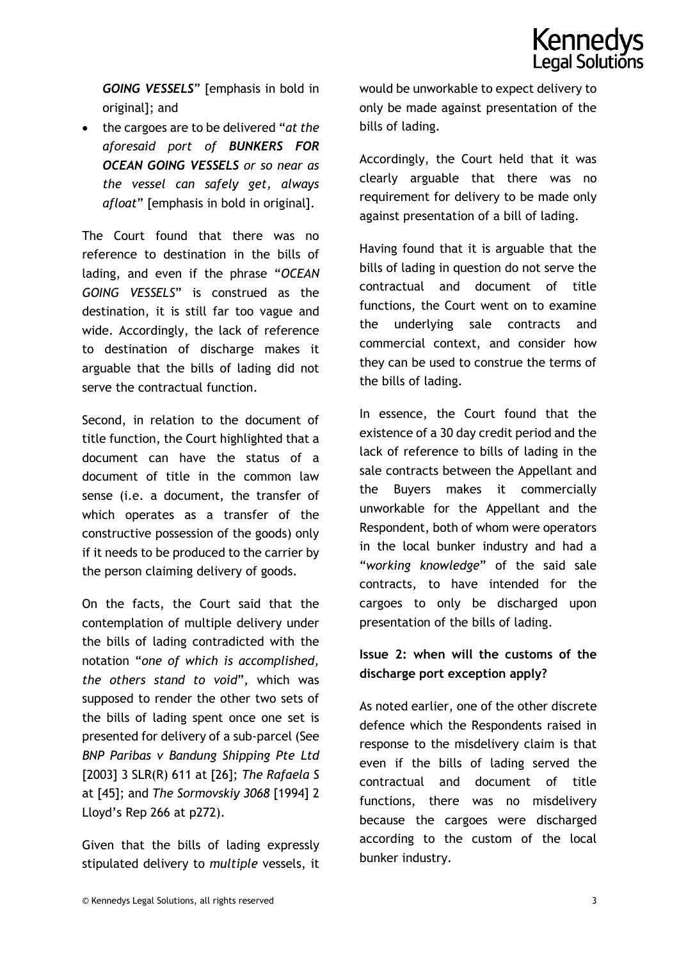*GOING VESSELS*" [emphasis in bold in original]; and

 the cargoes are to be delivered "*at the aforesaid port of BUNKERS FOR OCEAN GOING VESSELS or so near as the vessel can safely get, always afloat*" [emphasis in bold in original].

The Court found that there was no reference to destination in the bills of lading, and even if the phrase "*OCEAN GOING VESSELS*" is construed as the destination, it is still far too vague and wide. Accordingly, the lack of reference to destination of discharge makes it arguable that the bills of lading did not serve the contractual function.

Second, in relation to the document of title function, the Court highlighted that a document can have the status of a document of title in the common law sense (i.e. a document, the transfer of which operates as a transfer of the constructive possession of the goods) only if it needs to be produced to the carrier by the person claiming delivery of goods.

On the facts, the Court said that the contemplation of multiple delivery under the bills of lading contradicted with the notation "*one of which is accomplished, the others stand to void*", which was supposed to render the other two sets of the bills of lading spent once one set is presented for delivery of a sub-parcel (See *BNP Paribas v Bandung Shipping Pte Ltd* [2003] 3 SLR(R) 611 at [26]; *The Rafaela S* at [45]; and *The Sormovskiy 3068* [1994] 2 Lloyd's Rep 266 at p272).

Given that the bills of lading expressly stipulated delivery to *multiple* vessels, it would be unworkable to expect delivery to only be made against presentation of the bills of lading.

Accordingly, the Court held that it was clearly arguable that there was no requirement for delivery to be made only against presentation of a bill of lading.

Having found that it is arguable that the bills of lading in question do not serve the contractual and document of title functions, the Court went on to examine the underlying sale contracts and commercial context, and consider how they can be used to construe the terms of the bills of lading.

In essence, the Court found that the existence of a 30 day credit period and the lack of reference to bills of lading in the sale contracts between the Appellant and the Buyers makes it commercially unworkable for the Appellant and the Respondent, both of whom were operators in the local bunker industry and had a "*working knowledge*" of the said sale contracts, to have intended for the cargoes to only be discharged upon presentation of the bills of lading.

## **Issue 2: when will the customs of the discharge port exception apply?**

As noted earlier, one of the other discrete defence which the Respondents raised in response to the misdelivery claim is that even if the bills of lading served the contractual and document of title functions, there was no misdelivery because the cargoes were discharged according to the custom of the local bunker industry.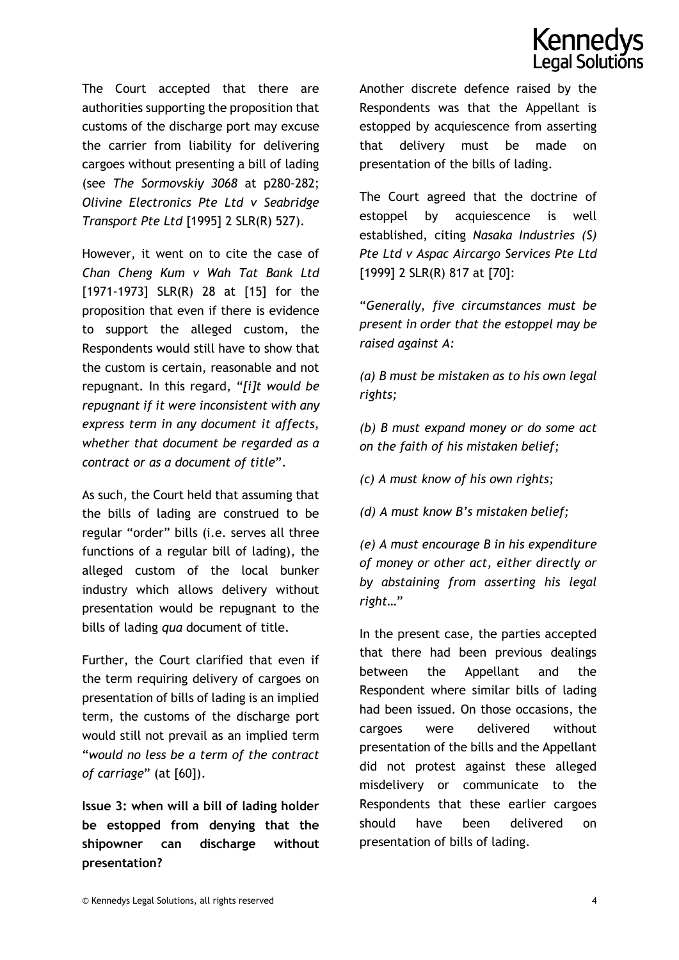# **Kenned** Legal Solutions

The Court accepted that there are authorities supporting the proposition that customs of the discharge port may excuse the carrier from liability for delivering cargoes without presenting a bill of lading (see *The Sormovskiy 3068* at p280-282; *Olivine Electronics Pte Ltd v Seabridge Transport Pte Ltd* [1995] 2 SLR(R) 527).

However, it went on to cite the case of *Chan Cheng Kum v Wah Tat Bank Ltd* [1971-1973] SLR(R) 28 at [15] for the proposition that even if there is evidence to support the alleged custom, the Respondents would still have to show that the custom is certain, reasonable and not repugnant. In this regard, "*[i]t would be repugnant if it were inconsistent with any express term in any document it affects, whether that document be regarded as a contract or as a document of title*".

As such, the Court held that assuming that the bills of lading are construed to be regular "order" bills (i.e. serves all three functions of a regular bill of lading), the alleged custom of the local bunker industry which allows delivery without presentation would be repugnant to the bills of lading *qua* document of title.

Further, the Court clarified that even if the term requiring delivery of cargoes on presentation of bills of lading is an implied term, the customs of the discharge port would still not prevail as an implied term "*would no less be a term of the contract of carriage*" (at [60]).

**Issue 3: when will a bill of lading holder be estopped from denying that the shipowner can discharge without presentation?**

Another discrete defence raised by the Respondents was that the Appellant is estopped by acquiescence from asserting that delivery must be made on presentation of the bills of lading.

The Court agreed that the doctrine of estoppel by acquiescence is well established, citing *Nasaka Industries (S) Pte Ltd v Aspac Aircargo Services Pte Ltd* [1999] 2 SLR(R) 817 at [70]:

"*Generally, five circumstances must be present in order that the estoppel may be raised against A:*

*(a) B must be mistaken as to his own legal rights;*

*(b) B must expand money or do some act on the faith of his mistaken belief;*

*(c) A must know of his own rights;*

*(d) A must know B's mistaken belief;*

*(e) A must encourage B in his expenditure of money or other act, either directly or by abstaining from asserting his legal right…*"

In the present case, the parties accepted that there had been previous dealings between the Appellant and the Respondent where similar bills of lading had been issued. On those occasions, the cargoes were delivered without presentation of the bills and the Appellant did not protest against these alleged misdelivery or communicate to the Respondents that these earlier cargoes should have been delivered on presentation of bills of lading.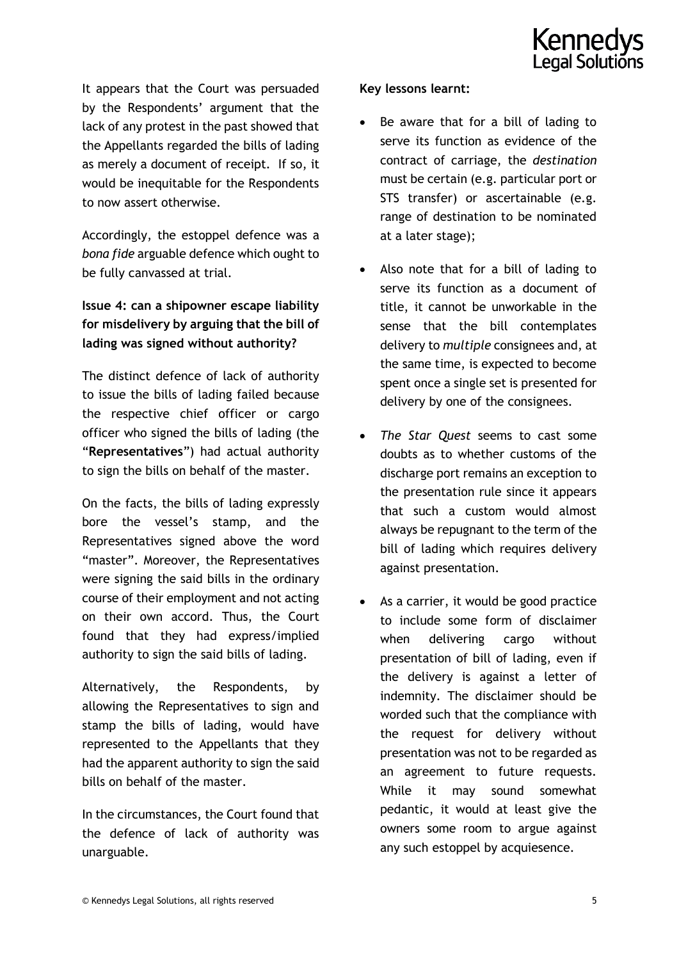It appears that the Court was persuaded by the Respondents' argument that the lack of any protest in the past showed that the Appellants regarded the bills of lading as merely a document of receipt. If so, it would be inequitable for the Respondents to now assert otherwise.

Accordingly, the estoppel defence was a *bona fide* arguable defence which ought to be fully canvassed at trial.

## **Issue 4: can a shipowner escape liability for misdelivery by arguing that the bill of lading was signed without authority?**

The distinct defence of lack of authority to issue the bills of lading failed because the respective chief officer or cargo officer who signed the bills of lading (the "**Representatives**") had actual authority to sign the bills on behalf of the master.

On the facts, the bills of lading expressly bore the vessel's stamp, and the Representatives signed above the word "master". Moreover, the Representatives were signing the said bills in the ordinary course of their employment and not acting on their own accord. Thus, the Court found that they had express/implied authority to sign the said bills of lading.

Alternatively, the Respondents, by allowing the Representatives to sign and stamp the bills of lading, would have represented to the Appellants that they had the apparent authority to sign the said bills on behalf of the master.

In the circumstances, the Court found that the defence of lack of authority was unarguable.

## **Key lessons learnt:**

- Be aware that for a bill of lading to serve its function as evidence of the contract of carriage, the *destination* must be certain (e.g. particular port or STS transfer) or ascertainable (e.g. range of destination to be nominated at a later stage);
- Also note that for a bill of lading to serve its function as a document of title, it cannot be unworkable in the sense that the bill contemplates delivery to *multiple* consignees and, at the same time, is expected to become spent once a single set is presented for delivery by one of the consignees.
- *The Star Quest* seems to cast some doubts as to whether customs of the discharge port remains an exception to the presentation rule since it appears that such a custom would almost always be repugnant to the term of the bill of lading which requires delivery against presentation.
- As a carrier, it would be good practice to include some form of disclaimer when delivering cargo without presentation of bill of lading, even if the delivery is against a letter of indemnity. The disclaimer should be worded such that the compliance with the request for delivery without presentation was not to be regarded as an agreement to future requests. While it may sound somewhat pedantic, it would at least give the owners some room to argue against any such estoppel by acquiesence.